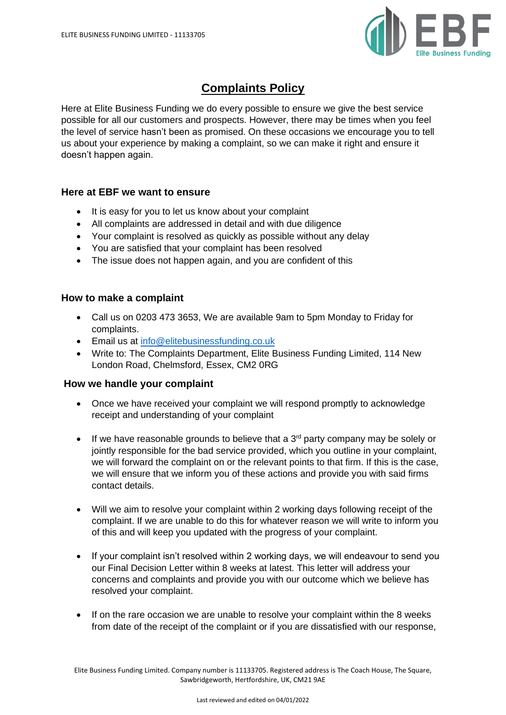

# **Complaints Policy**

Here at Elite Business Funding we do every possible to ensure we give the best service possible for all our customers and prospects. However, there may be times when you feel the level of service hasn't been as promised. On these occasions we encourage you to tell us about your experience by making a complaint, so we can make it right and ensure it doesn't happen again.

# **Here at EBF we want to ensure**

- It is easy for you to let us know about your complaint
- All complaints are addressed in detail and with due diligence
- Your complaint is resolved as quickly as possible without any delay
- You are satisfied that your complaint has been resolved
- The issue does not happen again, and you are confident of this

# **How to make a complaint**

- Call us on 0203 473 3653, We are available 9am to 5pm Monday to Friday for complaints.
- Email us at [info@elitebusinessfunding.co.uk](mailto:info@elitebusinessfunding.co.uk)
- Write to: The Complaints Department, Elite Business Funding Limited, 114 New London Road, Chelmsford, Essex, CM2 0RG

### **How we handle your complaint**

- Once we have received your complaint we will respond promptly to acknowledge receipt and understanding of your complaint
- $\bullet$  If we have reasonable grounds to believe that a 3<sup>rd</sup> party company may be solely or jointly responsible for the bad service provided, which you outline in your complaint, we will forward the complaint on or the relevant points to that firm. If this is the case, we will ensure that we inform you of these actions and provide you with said firms contact details.
- Will we aim to resolve your complaint within 2 working days following receipt of the complaint. If we are unable to do this for whatever reason we will write to inform you of this and will keep you updated with the progress of your complaint.
- If your complaint isn't resolved within 2 working days, we will endeavour to send you our Final Decision Letter within 8 weeks at latest. This letter will address your concerns and complaints and provide you with our outcome which we believe has resolved your complaint.
- If on the rare occasion we are unable to resolve your complaint within the 8 weeks from date of the receipt of the complaint or if you are dissatisfied with our response,